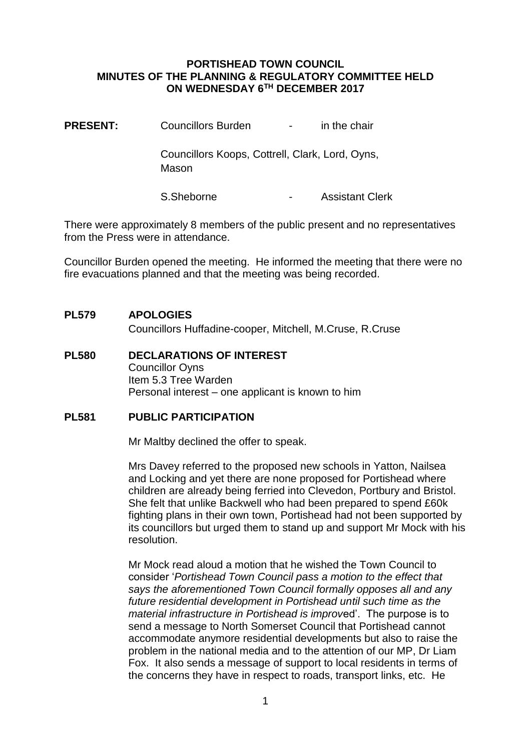### **PORTISHEAD TOWN COUNCIL MINUTES OF THE PLANNING & REGULATORY COMMITTEE HELD ON WEDNESDAY 6TH DECEMBER 2017**

**PRESENT:** Councillors Burden - in the chair

Councillors Koops, Cottrell, Clark, Lord, Oyns, Mason

S.Sheborne - Assistant Clerk

There were approximately 8 members of the public present and no representatives from the Press were in attendance.

Councillor Burden opened the meeting. He informed the meeting that there were no fire evacuations planned and that the meeting was being recorded.

# **PL579 APOLOGIES**

Councillors Huffadine-cooper, Mitchell, M.Cruse, R.Cruse

**PL580 DECLARATIONS OF INTEREST** Councillor Oyns Item 5.3 Tree Warden Personal interest – one applicant is known to him

# **PL581 PUBLIC PARTICIPATION**

Mr Maltby declined the offer to speak.

Mrs Davey referred to the proposed new schools in Yatton, Nailsea and Locking and yet there are none proposed for Portishead where children are already being ferried into Clevedon, Portbury and Bristol. She felt that unlike Backwell who had been prepared to spend £60k fighting plans in their own town, Portishead had not been supported by its councillors but urged them to stand up and support Mr Mock with his resolution.

Mr Mock read aloud a motion that he wished the Town Council to consider '*Portishead Town Council pass a motion to the effect that says the aforementioned Town Council formally opposes all and any future residential development in Portishead until such time as the material infrastructure in Portishead is improv*ed'. The purpose is to send a message to North Somerset Council that Portishead cannot accommodate anymore residential developments but also to raise the problem in the national media and to the attention of our MP, Dr Liam Fox. It also sends a message of support to local residents in terms of the concerns they have in respect to roads, transport links, etc. He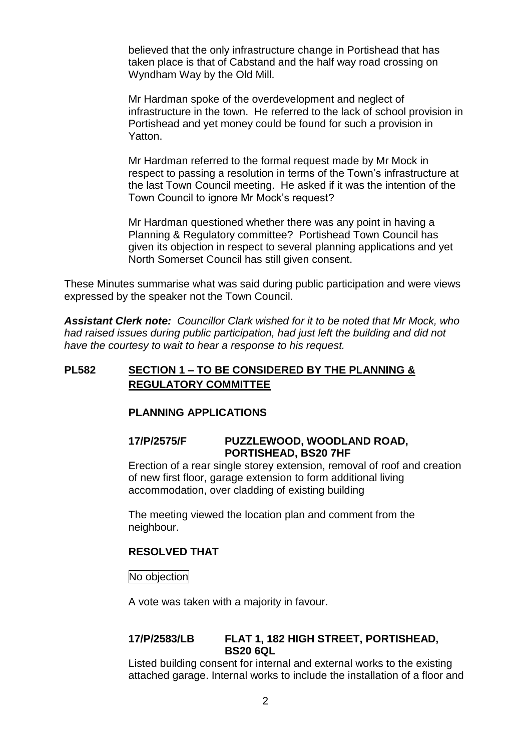believed that the only infrastructure change in Portishead that has taken place is that of Cabstand and the half way road crossing on Wyndham Way by the Old Mill.

Mr Hardman spoke of the overdevelopment and neglect of infrastructure in the town. He referred to the lack of school provision in Portishead and yet money could be found for such a provision in Yatton.

Mr Hardman referred to the formal request made by Mr Mock in respect to passing a resolution in terms of the Town's infrastructure at the last Town Council meeting. He asked if it was the intention of the Town Council to ignore Mr Mock's request?

Mr Hardman questioned whether there was any point in having a Planning & Regulatory committee? Portishead Town Council has given its objection in respect to several planning applications and yet North Somerset Council has still given consent.

These Minutes summarise what was said during public participation and were views expressed by the speaker not the Town Council.

*Assistant Clerk note: Councillor Clark wished for it to be noted that Mr Mock, who had raised issues during public participation, had just left the building and did not have the courtesy to wait to hear a response to his request.*

# **PL582 SECTION 1 – TO BE CONSIDERED BY THE PLANNING & REGULATORY COMMITTEE**

# **PLANNING APPLICATIONS**

# **17/P/2575/F PUZZLEWOOD, WOODLAND ROAD, PORTISHEAD, BS20 7HF**

Erection of a rear single storey extension, removal of roof and creation of new first floor, garage extension to form additional living accommodation, over cladding of existing building

The meeting viewed the location plan and comment from the neighbour.

# **RESOLVED THAT**

No objection

A vote was taken with a majority in favour.

#### **17/P/2583/LB FLAT 1, 182 HIGH STREET, PORTISHEAD, BS20 6QL**

Listed building consent for internal and external works to the existing attached garage. Internal works to include the installation of a floor and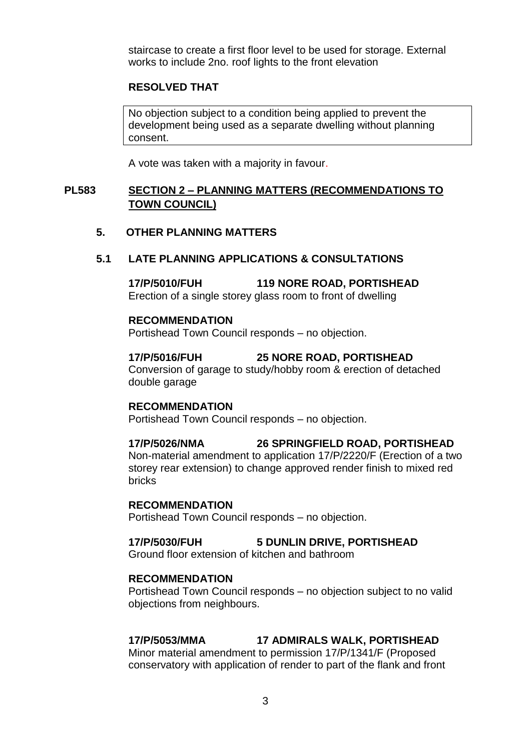staircase to create a first floor level to be used for storage. External works to include 2no. roof lights to the front elevation

# **RESOLVED THAT**

No objection subject to a condition being applied to prevent the development being used as a separate dwelling without planning consent.

A vote was taken with a majority in favour.

# **PL583 SECTION 2 – PLANNING MATTERS (RECOMMENDATIONS TO TOWN COUNCIL)**

# **5. OTHER PLANNING MATTERS**

### **5.1 LATE PLANNING APPLICATIONS & CONSULTATIONS**

**17/P/5010/FUH 119 NORE ROAD, PORTISHEAD** Erection of a single storey glass room to front of dwelling

#### **RECOMMENDATION**

Portishead Town Council responds – no objection.

**17/P/5016/FUH 25 NORE ROAD, PORTISHEAD** Conversion of garage to study/hobby room & erection of detached double garage

#### **RECOMMENDATION**

Portishead Town Council responds – no objection.

#### **17/P/5026/NMA 26 SPRINGFIELD ROAD, PORTISHEAD**

Non-material amendment to application 17/P/2220/F (Erection of a two storey rear extension) to change approved render finish to mixed red bricks

#### **RECOMMENDATION**

Portishead Town Council responds – no objection.

# **17/P/5030/FUH 5 DUNLIN DRIVE, PORTISHEAD**

Ground floor extension of kitchen and bathroom

#### **RECOMMENDATION**

Portishead Town Council responds – no objection subject to no valid objections from neighbours.

# **17/P/5053/MMA 17 ADMIRALS WALK, PORTISHEAD**

Minor material amendment to permission 17/P/1341/F (Proposed conservatory with application of render to part of the flank and front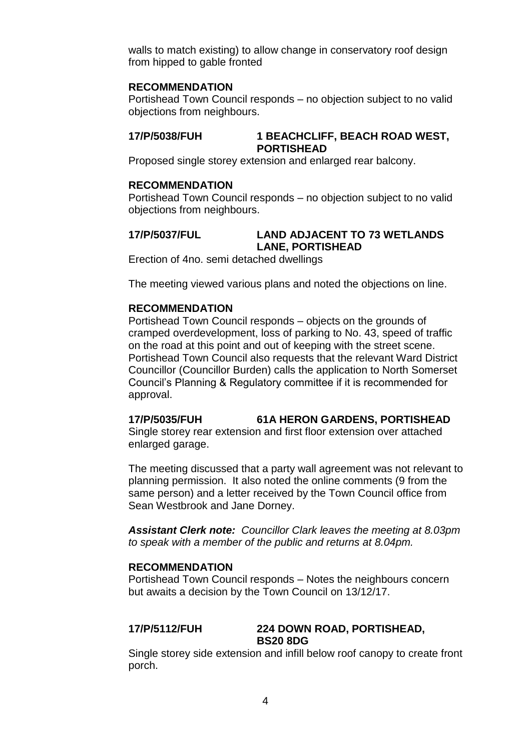walls to match existing) to allow change in conservatory roof design from hipped to gable fronted

#### **RECOMMENDATION**

Portishead Town Council responds – no objection subject to no valid objections from neighbours.

### **17/P/5038/FUH 1 BEACHCLIFF, BEACH ROAD WEST, PORTISHEAD**

Proposed single storey extension and enlarged rear balcony.

#### **RECOMMENDATION**

Portishead Town Council responds – no objection subject to no valid objections from neighbours.

#### **17/P/5037/FUL LAND ADJACENT TO 73 WETLANDS LANE, PORTISHEAD**

Erection of 4no. semi detached dwellings

The meeting viewed various plans and noted the objections on line.

#### **RECOMMENDATION**

Portishead Town Council responds – objects on the grounds of cramped overdevelopment, loss of parking to No. 43, speed of traffic on the road at this point and out of keeping with the street scene. Portishead Town Council also requests that the relevant Ward District Councillor (Councillor Burden) calls the application to North Somerset Council's Planning & Regulatory committee if it is recommended for approval.

# **17/P/5035/FUH 61A HERON GARDENS, PORTISHEAD**

Single storey rear extension and first floor extension over attached enlarged garage.

The meeting discussed that a party wall agreement was not relevant to planning permission. It also noted the online comments (9 from the same person) and a letter received by the Town Council office from Sean Westbrook and Jane Dorney.

*Assistant Clerk note: Councillor Clark leaves the meeting at 8.03pm to speak with a member of the public and returns at 8.04pm.*

#### **RECOMMENDATION**

Portishead Town Council responds – Notes the neighbours concern but awaits a decision by the Town Council on 13/12/17.

#### **17/P/5112/FUH 224 DOWN ROAD, PORTISHEAD, BS20 8DG**

Single storey side extension and infill below roof canopy to create front porch.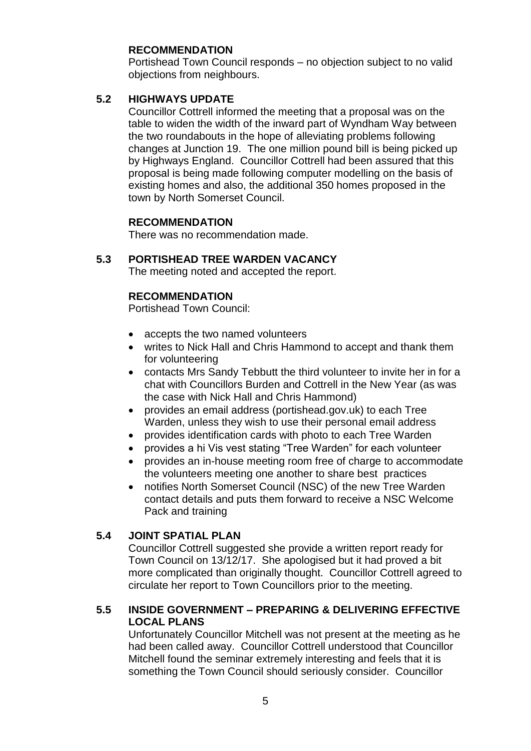# **RECOMMENDATION**

Portishead Town Council responds – no objection subject to no valid objections from neighbours.

# **5.2 HIGHWAYS UPDATE**

Councillor Cottrell informed the meeting that a proposal was on the table to widen the width of the inward part of Wyndham Way between the two roundabouts in the hope of alleviating problems following changes at Junction 19. The one million pound bill is being picked up by Highways England. Councillor Cottrell had been assured that this proposal is being made following computer modelling on the basis of existing homes and also, the additional 350 homes proposed in the town by North Somerset Council.

#### **RECOMMENDATION**

There was no recommendation made.

# **5.3 PORTISHEAD TREE WARDEN VACANCY**

The meeting noted and accepted the report.

# **RECOMMENDATION**

Portishead Town Council:

- accepts the two named volunteers
- writes to Nick Hall and Chris Hammond to accept and thank them for volunteering
- contacts Mrs Sandy Tebbutt the third volunteer to invite her in for a chat with Councillors Burden and Cottrell in the New Year (as was the case with Nick Hall and Chris Hammond)
- provides an email address (portishead.gov.uk) to each Tree Warden, unless they wish to use their personal email address
- provides identification cards with photo to each Tree Warden
- provides a hi Vis vest stating "Tree Warden" for each volunteer
- provides an in-house meeting room free of charge to accommodate the volunteers meeting one another to share best practices
- notifies North Somerset Council (NSC) of the new Tree Warden contact details and puts them forward to receive a NSC Welcome Pack and training

# **5.4 JOINT SPATIAL PLAN**

Councillor Cottrell suggested she provide a written report ready for Town Council on 13/12/17. She apologised but it had proved a bit more complicated than originally thought. Councillor Cottrell agreed to circulate her report to Town Councillors prior to the meeting.

# **5.5 INSIDE GOVERNMENT – PREPARING & DELIVERING EFFECTIVE LOCAL PLANS**

Unfortunately Councillor Mitchell was not present at the meeting as he had been called away. Councillor Cottrell understood that Councillor Mitchell found the seminar extremely interesting and feels that it is something the Town Council should seriously consider. Councillor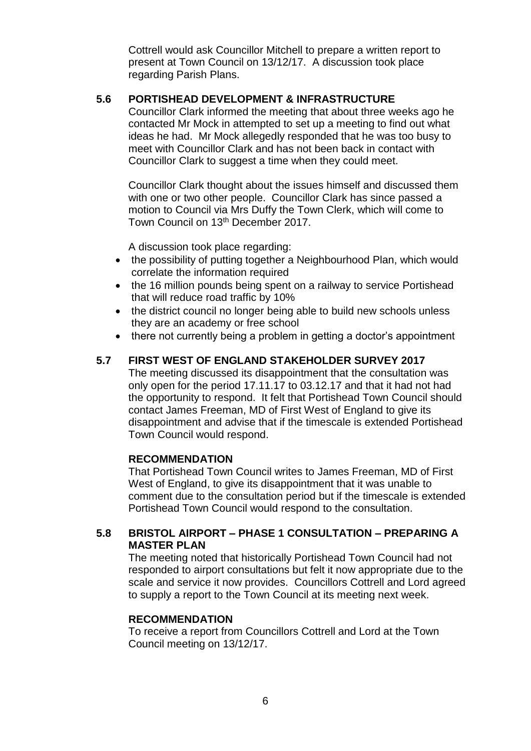Cottrell would ask Councillor Mitchell to prepare a written report to present at Town Council on 13/12/17. A discussion took place regarding Parish Plans.

# **5.6 PORTISHEAD DEVELOPMENT & INFRASTRUCTURE**

Councillor Clark informed the meeting that about three weeks ago he contacted Mr Mock in attempted to set up a meeting to find out what ideas he had. Mr Mock allegedly responded that he was too busy to meet with Councillor Clark and has not been back in contact with Councillor Clark to suggest a time when they could meet.

Councillor Clark thought about the issues himself and discussed them with one or two other people. Councillor Clark has since passed a motion to Council via Mrs Duffy the Town Clerk, which will come to Town Council on 13th December 2017.

A discussion took place regarding:

- the possibility of putting together a Neighbourhood Plan, which would correlate the information required
- the 16 million pounds being spent on a railway to service Portishead that will reduce road traffic by 10%
- the district council no longer being able to build new schools unless they are an academy or free school
- there not currently being a problem in getting a doctor's appointment

# **5.7 FIRST WEST OF ENGLAND STAKEHOLDER SURVEY 2017**

The meeting discussed its disappointment that the consultation was only open for the period 17.11.17 to 03.12.17 and that it had not had the opportunity to respond. It felt that Portishead Town Council should contact James Freeman, MD of First West of England to give its disappointment and advise that if the timescale is extended Portishead Town Council would respond.

# **RECOMMENDATION**

That Portishead Town Council writes to James Freeman, MD of First West of England, to give its disappointment that it was unable to comment due to the consultation period but if the timescale is extended Portishead Town Council would respond to the consultation.

# **5.8 BRISTOL AIRPORT – PHASE 1 CONSULTATION – PREPARING A MASTER PLAN**

The meeting noted that historically Portishead Town Council had not responded to airport consultations but felt it now appropriate due to the scale and service it now provides. Councillors Cottrell and Lord agreed to supply a report to the Town Council at its meeting next week.

# **RECOMMENDATION**

To receive a report from Councillors Cottrell and Lord at the Town Council meeting on 13/12/17.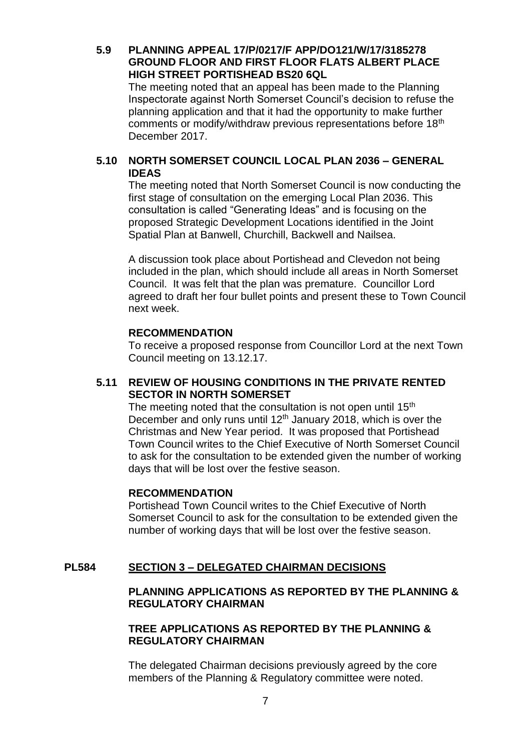# **5.9 PLANNING APPEAL 17/P/0217/F APP/DO121/W/17/3185278 GROUND FLOOR AND FIRST FLOOR FLATS ALBERT PLACE HIGH STREET PORTISHEAD BS20 6QL**

The meeting noted that an appeal has been made to the Planning Inspectorate against North Somerset Council's decision to refuse the planning application and that it had the opportunity to make further comments or modify/withdraw previous representations before 18<sup>th</sup> December 2017.

# **5.10 NORTH SOMERSET COUNCIL LOCAL PLAN 2036 – GENERAL IDEAS**

The meeting noted that North Somerset Council is now conducting the first stage of consultation on the emerging Local Plan 2036. This consultation is called "Generating Ideas" and is focusing on the proposed Strategic Development Locations identified in the Joint Spatial Plan at Banwell, Churchill, Backwell and Nailsea.

A discussion took place about Portishead and Clevedon not being included in the plan, which should include all areas in North Somerset Council. It was felt that the plan was premature. Councillor Lord agreed to draft her four bullet points and present these to Town Council next week.

#### **RECOMMENDATION**

To receive a proposed response from Councillor Lord at the next Town Council meeting on 13.12.17.

# **5.11 REVIEW OF HOUSING CONDITIONS IN THE PRIVATE RENTED SECTOR IN NORTH SOMERSET**

The meeting noted that the consultation is not open until 15<sup>th</sup> December and only runs until  $12<sup>th</sup>$  January 2018, which is over the Christmas and New Year period. It was proposed that Portishead Town Council writes to the Chief Executive of North Somerset Council to ask for the consultation to be extended given the number of working days that will be lost over the festive season.

### **RECOMMENDATION**

Portishead Town Council writes to the Chief Executive of North Somerset Council to ask for the consultation to be extended given the number of working days that will be lost over the festive season.

# **PL584 SECTION 3 – DELEGATED CHAIRMAN DECISIONS**

# **PLANNING APPLICATIONS AS REPORTED BY THE PLANNING & REGULATORY CHAIRMAN**

#### **TREE APPLICATIONS AS REPORTED BY THE PLANNING & REGULATORY CHAIRMAN**

The delegated Chairman decisions previously agreed by the core members of the Planning & Regulatory committee were noted.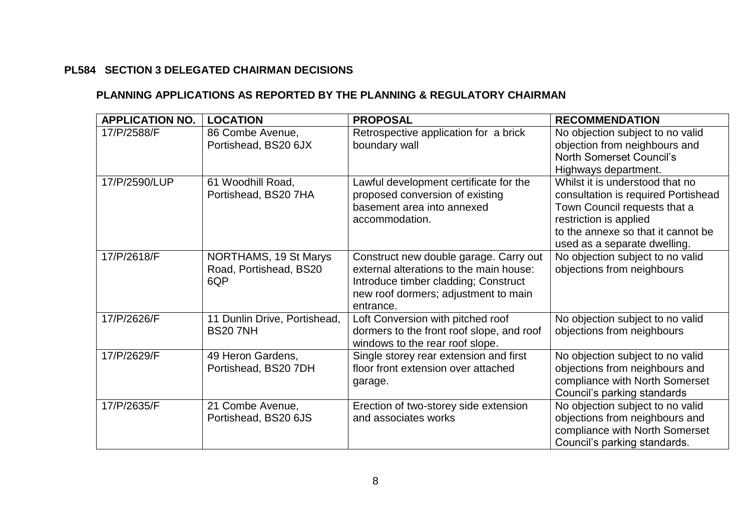# **PL584 SECTION 3 DELEGATED CHAIRMAN DECISIONS**

# **PLANNING APPLICATIONS AS REPORTED BY THE PLANNING & REGULATORY CHAIRMAN**

| <b>APPLICATION NO.</b> | <b>LOCATION</b>                                        | <b>PROPOSAL</b>                                                                                                                                                                | <b>RECOMMENDATION</b>                                                                                                                                                                                  |
|------------------------|--------------------------------------------------------|--------------------------------------------------------------------------------------------------------------------------------------------------------------------------------|--------------------------------------------------------------------------------------------------------------------------------------------------------------------------------------------------------|
| 17/P/2588/F            | 86 Combe Avenue,<br>Portishead, BS20 6JX               | Retrospective application for a brick<br>boundary wall                                                                                                                         | No objection subject to no valid<br>objection from neighbours and<br><b>North Somerset Council's</b><br>Highways department.                                                                           |
| 17/P/2590/LUP          | 61 Woodhill Road,<br>Portishead, BS20 7HA              | Lawful development certificate for the<br>proposed conversion of existing<br>basement area into annexed<br>accommodation.                                                      | Whilst it is understood that no<br>consultation is required Portishead<br>Town Council requests that a<br>restriction is applied<br>to the annexe so that it cannot be<br>used as a separate dwelling. |
| 17/P/2618/F            | NORTHAMS, 19 St Marys<br>Road, Portishead, BS20<br>6QP | Construct new double garage. Carry out<br>external alterations to the main house:<br>Introduce timber cladding; Construct<br>new roof dormers; adjustment to main<br>entrance. | No objection subject to no valid<br>objections from neighbours                                                                                                                                         |
| 17/P/2626/F            | 11 Dunlin Drive, Portishead,<br><b>BS207NH</b>         | Loft Conversion with pitched roof<br>dormers to the front roof slope, and roof<br>windows to the rear roof slope.                                                              | No objection subject to no valid<br>objections from neighbours                                                                                                                                         |
| 17/P/2629/F            | 49 Heron Gardens,<br>Portishead, BS20 7DH              | Single storey rear extension and first<br>floor front extension over attached<br>garage.                                                                                       | No objection subject to no valid<br>objections from neighbours and<br>compliance with North Somerset<br>Council's parking standards                                                                    |
| 17/P/2635/F            | 21 Combe Avenue,<br>Portishead, BS20 6JS               | Erection of two-storey side extension<br>and associates works                                                                                                                  | No objection subject to no valid<br>objections from neighbours and<br>compliance with North Somerset<br>Council's parking standards.                                                                   |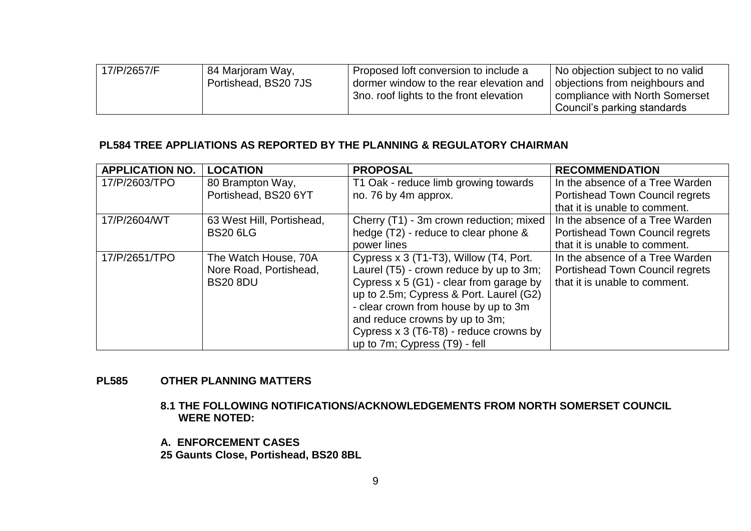| 17/P/2657/F | 84 Marjoram Way,<br>Portishead, BS20 7JS | Proposed loft conversion to include a<br>dormer window to the rear elevation and<br>3no. roof lights to the front elevation | No objection subject to no valid<br>objections from neighbours and<br>compliance with North Somerset<br>Council's parking standards |
|-------------|------------------------------------------|-----------------------------------------------------------------------------------------------------------------------------|-------------------------------------------------------------------------------------------------------------------------------------|
|-------------|------------------------------------------|-----------------------------------------------------------------------------------------------------------------------------|-------------------------------------------------------------------------------------------------------------------------------------|

### **PL584 TREE APPLIATIONS AS REPORTED BY THE PLANNING & REGULATORY CHAIRMAN**

| <b>APPLICATION NO.</b> | <b>LOCATION</b>                                                   | <b>PROPOSAL</b>                                                                                                                                                                                                                                                                                                                | <b>RECOMMENDATION</b>                                                                                      |
|------------------------|-------------------------------------------------------------------|--------------------------------------------------------------------------------------------------------------------------------------------------------------------------------------------------------------------------------------------------------------------------------------------------------------------------------|------------------------------------------------------------------------------------------------------------|
| 17/P/2603/TPO          | 80 Brampton Way,<br>Portishead, BS20 6YT                          | T1 Oak - reduce limb growing towards<br>no. 76 by 4m approx.                                                                                                                                                                                                                                                                   | In the absence of a Tree Warden<br><b>Portishead Town Council regrets</b><br>that it is unable to comment. |
| 17/P/2604/WT           | 63 West Hill, Portishead,<br><b>BS20 6LG</b>                      | Cherry (T1) - 3m crown reduction; mixed<br>hedge (T2) - reduce to clear phone &<br>power lines                                                                                                                                                                                                                                 | In the absence of a Tree Warden<br><b>Portishead Town Council regrets</b><br>that it is unable to comment. |
| 17/P/2651/TPO          | The Watch House, 70A<br>Nore Road, Portishead,<br><b>BS20 8DU</b> | Cypress x 3 (T1-T3), Willow (T4, Port.<br>Laurel (T5) - crown reduce by up to 3m;<br>Cypress $x 5$ (G1) - clear from garage by<br>up to 2.5m; Cypress & Port. Laurel (G2)<br>- clear crown from house by up to 3m<br>and reduce crowns by up to 3m;<br>Cypress x 3 (T6-T8) - reduce crowns by<br>up to 7m; Cypress (T9) - fell | In the absence of a Tree Warden<br><b>Portishead Town Council regrets</b><br>that it is unable to comment. |

# **PL585 OTHER PLANNING MATTERS**

**8.1 THE FOLLOWING NOTIFICATIONS/ACKNOWLEDGEMENTS FROM NORTH SOMERSET COUNCIL WERE NOTED:**

**A. ENFORCEMENT CASES**

**25 Gaunts Close, Portishead, BS20 8BL**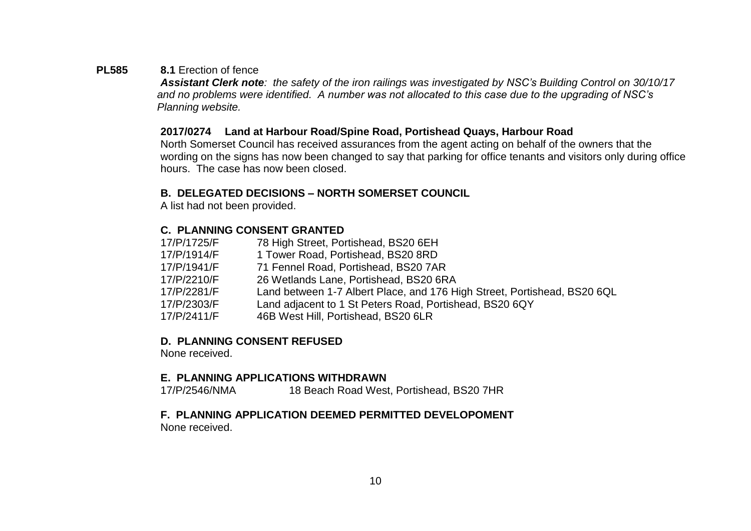# **PL585 8.1** Erection of fence

*Assistant Clerk note: the safety of the iron railings was investigated by NSC's Building Control on 30/10/17 and no problems were identified. A number was not allocated to this case due to the upgrading of NSC's Planning website.*

#### **2017/0274 Land at Harbour Road/Spine Road, Portishead Quays, Harbour Road**

North Somerset Council has received assurances from the agent acting on behalf of the owners that the wording on the signs has now been changed to say that parking for office tenants and visitors only during office hours. The case has now been closed.

# **B. DELEGATED DECISIONS – NORTH SOMERSET COUNCIL**

A list had not been provided.

# **C. PLANNING CONSENT GRANTED**

17/P/1725/F 78 High Street, Portishead, BS20 6EH 17/P/1914/F 1 Tower Road, Portishead, BS20 8RD 17/P/1941/F 71 Fennel Road, Portishead, BS20 7AR 17/P/2210/F 26 Wetlands Lane, Portishead, BS20 6RA<br>17/P/2281/F Land between 1-7 Albert Place. and 176 H Land between 1-7 Albert Place, and 176 High Street, Portishead, BS20 6QL 17/P/2303/F Land adjacent to 1 St Peters Road, Portishead, BS20 6QY 17/P/2411/F 46B West Hill, Portishead, BS20 6LR

# **D. PLANNING CONSENT REFUSED**

None received.

# **E. PLANNING APPLICATIONS WITHDRAWN**

17/P/2546/NMA 18 Beach Road West, Portishead, BS20 7HR

# **F. PLANNING APPLICATION DEEMED PERMITTED DEVELOPOMENT**

None received.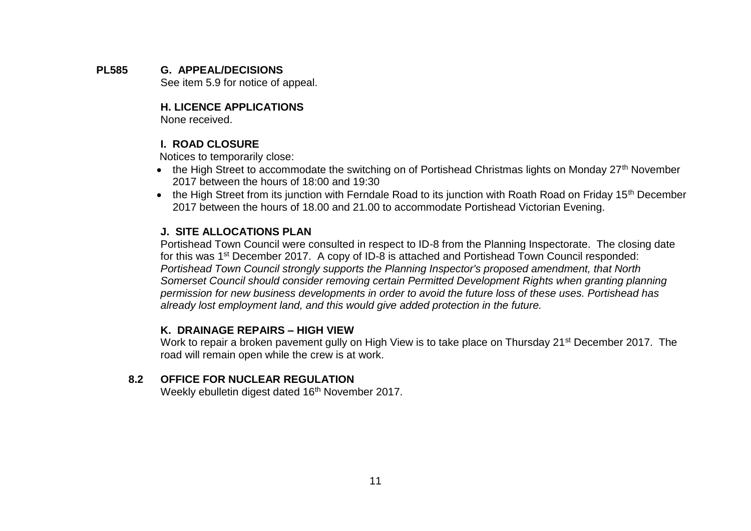**PL585 G. APPEAL/DECISIONS** See item 5.9 for notice of appeal.

# **H. LICENCE APPLICATIONS**

None received.

# **I. ROAD CLOSURE**

Notices to temporarily close:

- the High Street to accommodate the switching on of Portishead Christmas lights on Monday 27<sup>th</sup> November 2017 between the hours of 18:00 and 19:30
- the High Street from its junction with Ferndale Road to its junction with Roath Road on Friday 15<sup>th</sup> December 2017 between the hours of 18.00 and 21.00 to accommodate Portishead Victorian Evening.

# **J. SITE ALLOCATIONS PLAN**

Portishead Town Council were consulted in respect to ID-8 from the Planning Inspectorate. The closing date for this was 1<sup>st</sup> December 2017. A copy of ID-8 is attached and Portishead Town Council responded: *Portishead Town Council strongly supports the Planning Inspector's proposed amendment, that North Somerset Council should consider removing certain Permitted Development Rights when granting planning permission for new business developments in order to avoid the future loss of these uses. Portishead has already lost employment land, and this would give added protection in the future.*

# **K. DRAINAGE REPAIRS – HIGH VIEW**

Work to repair a broken pavement gully on High View is to take place on Thursday 21<sup>st</sup> December 2017. The road will remain open while the crew is at work.

# **8.2 OFFICE FOR NUCLEAR REGULATION**

Weekly ebulletin digest dated 16<sup>th</sup> November 2017.